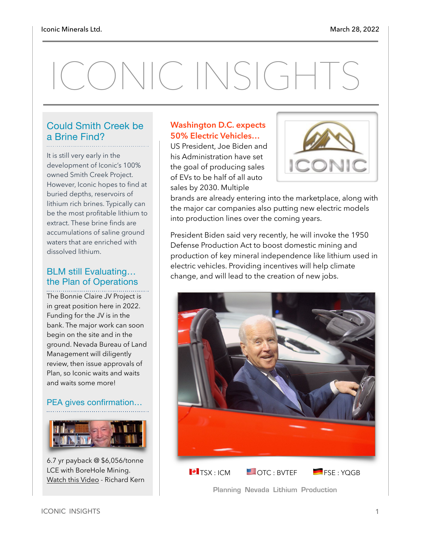# CONIC INSIGHTS

#### Could Smith Creek be a Brine Find?

It is still very early in the development of Iconic's 100% owned Smith Creek Project. However, Iconic hopes to find at buried depths, reservoirs of lithium rich brines. Typically can be the most profitable lithium to extract. These brine finds are accumulations of saline ground waters that are enriched with dissolved lithium.

#### BLM still Evaluating… the Plan of Operations

The Bonnie Claire JV Project is in great position here in 2022. Funding for the JV is in the bank. The major work can soon begin on the site and in the ground. Nevada Bureau of Land Management will diligently review, then issue approvals of Plan, so Iconic waits and waits and waits some more!

#### PEA gives confirmation…



6.7 yr payback @ \$6,056/tonne LCE with BoreHole Mining. [Watch this Video](https://www.youtube.com/watch?v=vsXsFvm4QMY) - Richard Kern

#### **Washington D.C. expects 50% Electric Vehicles…**

US President, Joe Biden and his Administration have set the goal of producing sales of EVs to be half of all auto sales by 2030. Multiple



brands are already entering into the marketplace, along with the major car companies also putting new electric models into production lines over the coming years.

President Biden said very recently, he will invoke the 1950 Defense Production Act to boost domestic mining and production of key mineral independence like lithium used in electric vehicles. Providing incentives will help climate change, and will lead to the creation of new jobs.



**Planning Nevada Lithium Production**